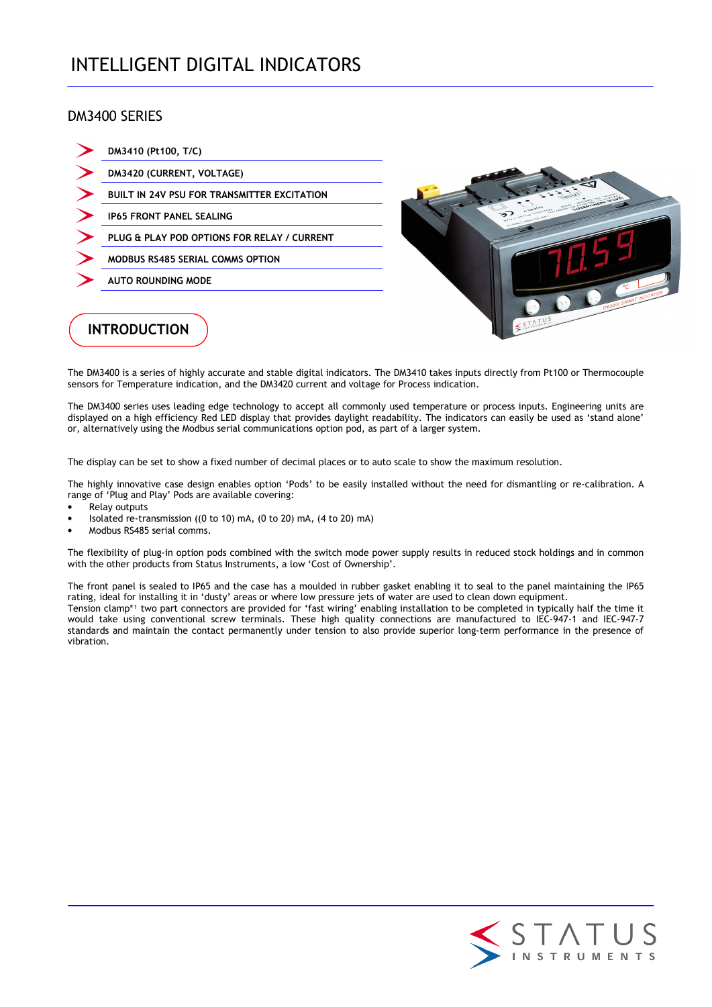# INTELLIGENT DIGITAL INDICATORS

## DM3400 SERIES

| DM3410 (Pt100, T/C)                                |
|----------------------------------------------------|
| DM3420 (CURRENT, VOLTAGE)                          |
| <b>BUILT IN 24V PSU FOR TRANSMITTER EXCITATION</b> |
| <b>IP65 FRONT PANEL SEALING</b>                    |
| PLUG & PLAY POD OPTIONS FOR RELAY / CURRENT        |
| <b>MODBUS RS485 SERIAL COMMS OPTION</b>            |
| <b>AUTO ROUNDING MODE</b>                          |
|                                                    |



## INTRODUCTION

The DM3400 is a series of highly accurate and stable digital indicators. The DM3410 takes inputs directly from Pt100 or Thermocouple sensors for Temperature indication, and the DM3420 current and voltage for Process indication.

The DM3400 series uses leading edge technology to accept all commonly used temperature or process inputs. Engineering units are displayed on a high efficiency Red LED display that provides daylight readability. The indicators can easily be used as 'stand alone' or, alternatively using the Modbus serial communications option pod, as part of a larger system.

The display can be set to show a fixed number of decimal places or to auto scale to show the maximum resolution.

The highly innovative case design enables option 'Pods' to be easily installed without the need for dismantling or re-calibration. A range of 'Plug and Play' Pods are available covering:

- Relay outputs
- Isolated re-transmission ((0 to 10) mA, (0 to 20) mA, (4 to 20) mA)
- Modbus RS485 serial comms.

The flexibility of plug-in option pods combined with the switch mode power supply results in reduced stock holdings and in common with the other products from Status Instruments, a low 'Cost of Ownership'.

The front panel is sealed to IP65 and the case has a moulded in rubber gasket enabling it to seal to the panel maintaining the IP65 rating, ideal for installing it in 'dusty' areas or where low pressure jets of water are used to clean down equipment. Tension clamp\*<sup>1</sup> two part connectors are provided for 'fast wiring' enabling installation to be completed in typically half the time it would take using conventional screw terminals. These high quality connections are manufactured to IEC-947-1 and IEC-947-7 standards and maintain the contact permanently under tension to also provide superior long-term performance in the presence of vibration.

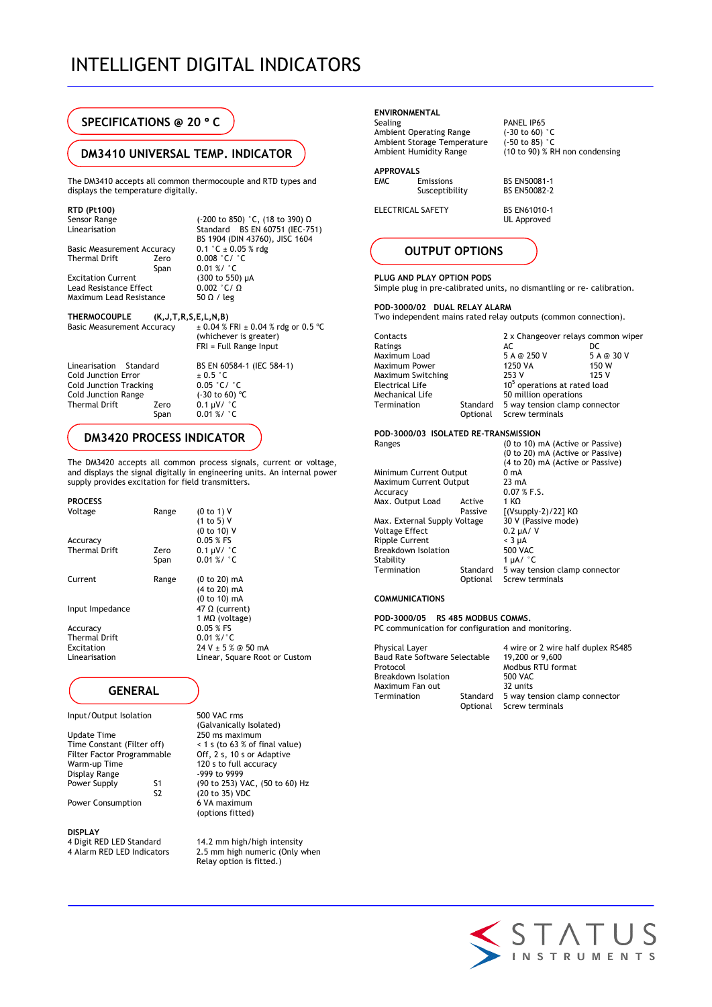## INTELLIGENT DIGITAL INDICATORS

## SPECIFICATIONS @ 20 ° C

### DM3410 UNIVERSAL TEMP. INDICATOR

The DM3410 accepts all common thermocouple and RTD types and displays the temperature digitally.

## RTD (Pt100)

| Sensor Range                      |      | (-200 to 850) °C, (18 to 390) $\Omega$ |
|-----------------------------------|------|----------------------------------------|
| Linearisation                     |      | Standard BS EN 60751 (IEC-751)         |
|                                   |      | BS 1904 (DIN 43760), JISC 1604         |
| <b>Basic Measurement Accuracy</b> |      | $0.1 \degree C \pm 0.05 \%$ rdg        |
| <b>Thermal Drift</b>              | Zero | 0.008 °C/ °C                           |
|                                   | Span | $0.01 \%$ / °C                         |
| <b>Excitation Current</b>         |      | (300 to 550) µA                        |
| Lead Resistance Effect            |      | $0.002 °C/\Omega$                      |
| Maximum Lead Resistance           |      | $50 \Omega / \text{leg}$               |
|                                   |      |                                        |

#### THERMOCOUPLE (K,J,T,R,S,E,L,N,B) Basic Measurement Accuracy  $\pm 0.04\%$  FRI  $\pm 0.04\%$  rdg or 0.5 °C (whichever is greater) FRI = Full Range Input

| Linearisation Standard     |      | BS EN 60584-1 (IEC 584-1) |
|----------------------------|------|---------------------------|
| Cold Junction Error        |      | $\pm$ 0.5 $\degree$ C     |
| Cold Junction Tracking     |      | 0.05 °C/ °C               |
| <b>Cold Junction Range</b> |      | $(-30 \text{ to } 60)$ °C |
| Thermal Drift              | Zero | $0.1 \mu V / C$           |
|                            | Span | $0.01 \%$ / °C            |

### DM3420 PROCESS INDICATOR

The DM3420 accepts all common process signals, current or voltage, and displays the signal digitally in engineering units. An internal power supply provides excitation for field transmitters.

#### **PROCESS**

| Range        | (0 to 1) V<br>(1 to 5) V                                      |
|--------------|---------------------------------------------------------------|
| Zero<br>Span | (0 to 10) V<br>$0.05 %$ FS<br>$0.1 \mu V / C$<br>$0.01\%/$ °C |
|              | (0 to 20) mA                                                  |
|              | (4 to 20) mA                                                  |
|              | (0 to 10) mA                                                  |
|              | 47 Ω (current)                                                |
|              | 1 $M\Omega$ (voltage)<br>$0.05 %$ FS                          |
|              | $0.01\%$ /°C                                                  |
|              | $24 V \pm 5 %$ @ 50 mA                                        |
|              | Linear, Square Root or Custom                                 |
|              | Range                                                         |

### **GENERAL**

Input/Output Isolation 500 VAC rms

Update Time 250 ms maximum<br>Time Constant (Filter off)  $\leq 1$  s (to 63 % of f Filter Factor Programmable<br>Warm-up Time Display Range S2 (20 to 35) VDC

DISPLAY<br>4 Digit RED LED Standard 4 Digit RED LED Standard 14.2 mm high/high intensity<br>4 Alarm RED LED Indicators 2.5 mm high numeric (Only \)

metric compact contact the contract of Calvanically Isolated)<br>Update Time 250 ms maximum  $<$  1 s (to 63 % of final value)<br>Off, 2 s, 10 s or Adaptive 120 s to full accuracy<br>-999 to 9999 Power Supply S1 (90 to 253) VAC, (50 to 60) Hz Power Consumption 6 VA maximum (options fitted)

> 2.5 mm high numeric (Only when Relay option is fitted.)

## ENVIRONMENTAL<br>Sealing

Ambient Operating Range (-30 to 60) °C<br>Ambient Storage Temperature (-50 to 85) °C Ambient Storage Temperature Ambient Humidity Range (10 to 90) % RH non condensing

APPROVALS<br>EMC Emissions

Susceptibility

ELECTRICAL SAFETY BS EN61010-1

## OUTPUT OPTIONS

#### PLUG AND PLAY OPTION PODS Simple plug in pre-calibrated units, no dismantling or re- calibration.

PANEL IP65

BS EN50081-1<br>BS EN50082-2

UL Approved

#### POD-3000/02 DUAL RELAY ALARM

Two independent mains rated relay outputs (common connection).

| Contacts               |          | 2 x Changeover relays common wiper       |            |
|------------------------|----------|------------------------------------------|------------|
| Ratings                |          | AC                                       | DC.        |
| Maximum Load           |          | 5 A @ 250 V                              | 5 A @ 30 V |
| Maximum Power          |          | 1250 VA                                  | 150 W      |
| Maximum Switching      |          | 253 V                                    | 125 V      |
| <b>Electrical Life</b> |          | 10 <sup>5</sup> operations at rated load |            |
| Mechanical Life        |          | 50 million operations                    |            |
| Termination            | Standard | 5 way tension clamp connector            |            |
|                        | Optional | Screw terminals                          |            |

#### POD-3000/03 ISOLATED RE-TRANSMISSION Ranges (0 to 10) mA (Active or Passive)

Minimum Current Output  $\begin{array}{cc}\n0 \text{ mA} \\
\text{Maximum Current Output} \\
23 \text{ mA}\n\end{array}$ Maximum Current Output<br>Accuracy  $0.07 % F.S.$ Max. Output Load Active 1 KΩ Passive [(Vsupply-2)/22] KΩ<br>Passive [(Vsupply-2)/22] KΩ<br>V (Passive mode) Max. External Supply Voltage  $\frac{30 \text{ V}}{244}$  V (Pass Voltage Effect 0.2 µA<br>Ripple Current < 3 µA Ripple Current < 3 µA<br>Breakdown Isolation 500 VAC Breakdown Isolation<br>Stability Stability<br>Termination 5 vay tells 5 Year 1 µA/  $\degree$ C Screw terminals

 (0 to 20) mA (Active or Passive) (4 to 20) mA (Active or Passive) Standard 5 way tension clamp connector<br>Optional Screw terminals

#### **COMMUNICATIONS**

| POD-3000/05 RS 485 MODBUS COMMS.                   |          |                                    |  |  |  |  |
|----------------------------------------------------|----------|------------------------------------|--|--|--|--|
| PC communication for configuration and monitoring. |          |                                    |  |  |  |  |
| <b>Physical Layer</b>                              |          | 4 wire or 2 wire half duplex RS485 |  |  |  |  |
| <b>Baud Rate Software Selectable</b>               |          | 19,200 or 9,600                    |  |  |  |  |
| Protocol                                           |          | Modbus RTU format                  |  |  |  |  |
| Breakdown Isolation                                |          | <b>500 VAC</b>                     |  |  |  |  |
| Maximum Fan out                                    |          | 32 units                           |  |  |  |  |
| Termination                                        | Standard | 5 way tension clamp connector      |  |  |  |  |
|                                                    | Optional | Screw terminals                    |  |  |  |  |